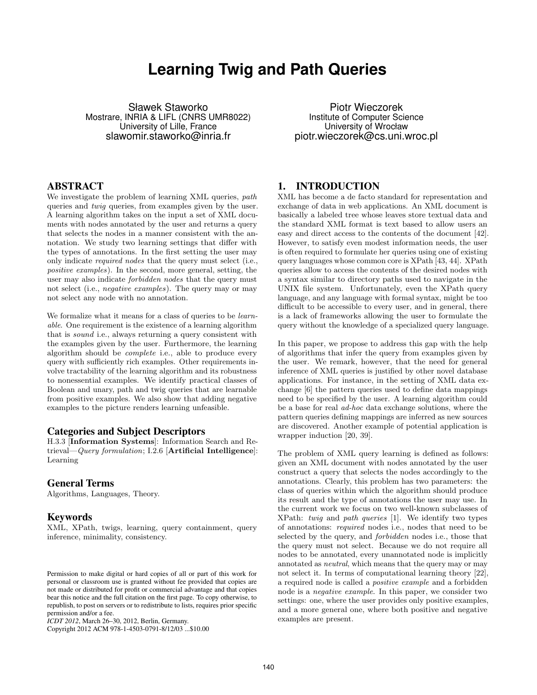# **Learning Twig and Path Queries**

Sławek Staworko Mostrare, INRIA & LIFL (CNRS UMR8022) University of Lille, France slawomir.staworko@inria.fr

Piotr Wieczorek Institute of Computer Science University of Wrocław piotr.wieczorek@cs.uni.wroc.pl

# ABSTRACT

We investigate the problem of learning XML queries, path queries and twig queries, from examples given by the user. A learning algorithm takes on the input a set of XML documents with nodes annotated by the user and returns a query that selects the nodes in a manner consistent with the annotation. We study two learning settings that differ with the types of annotations. In the first setting the user may only indicate required nodes that the query must select (i.e., positive examples). In the second, more general, setting, the user may also indicate forbidden nodes that the query must not select (i.e., negative examples). The query may or may not select any node with no annotation.

We formalize what it means for a class of queries to be *learn*able. One requirement is the existence of a learning algorithm that is sound i.e., always returning a query consistent with the examples given by the user. Furthermore, the learning algorithm should be complete i.e., able to produce every query with sufficiently rich examples. Other requirements involve tractability of the learning algorithm and its robustness to nonessential examples. We identify practical classes of Boolean and unary, path and twig queries that are learnable from positive examples. We also show that adding negative examples to the picture renders learning unfeasible.

## Categories and Subject Descriptors

H.3.3 [Information Systems]: Information Search and Retrieval—Query formulation; I.2.6 [Artificial Intelligence]: Learning

#### General Terms

Algorithms, Languages, Theory.

## Keywords

XML, XPath, twigs, learning, query containment, query inference, minimality, consistency.

Copyright 2012 ACM 978-1-4503-0791-8/12/03 ...\$10.00

# 1. INTRODUCTION

XML has become a de facto standard for representation and exchange of data in web applications. An XML document is basically a labeled tree whose leaves store textual data and the standard XML format is text based to allow users an easy and direct access to the contents of the document [42]. However, to satisfy even modest information needs, the user is often required to formulate her queries using one of existing query languages whose common core is XPath [43, 44]. XPath queries allow to access the contents of the desired nodes with a syntax similar to directory paths used to navigate in the UNIX file system. Unfortunately, even the XPath query language, and any language with formal syntax, might be too difficult to be accessible to every user, and in general, there is a lack of frameworks allowing the user to formulate the query without the knowledge of a specialized query language.

In this paper, we propose to address this gap with the help of algorithms that infer the query from examples given by the user. We remark, however, that the need for general inference of XML queries is justified by other novel database applications. For instance, in the setting of XML data exchange [6] the pattern queries used to define data mappings need to be specified by the user. A learning algorithm could be a base for real ad-hoc data exchange solutions, where the pattern queries defining mappings are inferred as new sources are discovered. Another example of potential application is wrapper induction [20, 39].

The problem of XML query learning is defined as follows: given an XML document with nodes annotated by the user construct a query that selects the nodes accordingly to the annotations. Clearly, this problem has two parameters: the class of queries within which the algorithm should produce its result and the type of annotations the user may use. In the current work we focus on two well-known subclasses of XPath: twig and path queries [1]. We identify two types of annotations: required nodes i.e., nodes that need to be selected by the query, and forbidden nodes i.e., those that the query must not select. Because we do not require all nodes to be annotated, every unannotated node is implicitly annotated as neutral, which means that the query may or may not select it. In terms of computational learning theory [22], a required node is called a positive example and a forbidden node is a negative example. In this paper, we consider two settings: one, where the user provides only positive examples, and a more general one, where both positive and negative examples are present.

Permission to make digital or hard copies of all or part of this work for personal or classroom use is granted without fee provided that copies are not made or distributed for profit or commercial advantage and that copies bear this notice and the full citation on the first page. To copy otherwise, to republish, to post on servers or to redistribute to lists, requires prior specific permission and/or a fee.

*ICDT 2012*, March 26–30, 2012, Berlin, Germany.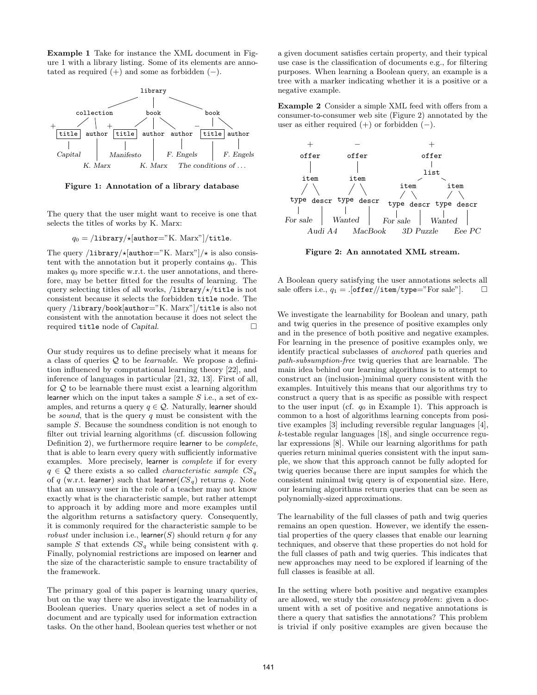Example 1 Take for instance the XML document in Figure 1 with a library listing. Some of its elements are annotated as required  $(+)$  and some as forbidden  $(-)$ .



Figure 1: Annotation of a library database

The query that the user might want to receive is one that selects the titles of works by K. Marx:

$$
q_0 = \text{/library}/\star[\text{author} = "K. \text{ Marx}"]/\text{title}.
$$

The query /library/ $\star$ [author="K. Marx"]/ $\star$  is also consistent with the annotation but it properly contains  $q_0$ . This makes  $q_0$  more specific w.r.t. the user annotations, and therefore, may be better fitted for the results of learning. The query selecting titles of all works,  $\int$ library $/\star$ /title is not consistent because it selects the forbidden title node. The query /library/book[author="K. Marx"]/title is also not consistent with the annotation because it does not select the required title node of *Capital*.

Our study requires us to define precisely what it means for a class of queries  $Q$  to be *learnable*. We propose a definition influenced by computational learning theory [22], and inference of languages in particular [21, 32, 13]. First of all, for Q to be learnable there must exist a learning algorithm learner which on the input takes a sample  $S$  i.e., a set of examples, and returns a query  $q \in \mathcal{Q}$ . Naturally, learner should be *sound*, that is the query  $q$  must be consistent with the sample S. Because the soundness condition is not enough to filter out trivial learning algorithms (cf. discussion following Definition 2), we furthermore require learner to be complete, that is able to learn every query with sufficiently informative examples. More precisely, learner is complete if for every  $q \in \mathcal{Q}$  there exists a so called *characteristic sample CS<sub>q</sub>* of q (w.r.t. learner) such that learner( $CS_q$ ) returns q. Note that an unsavy user in the role of a teacher may not know exactly what is the characteristic sample, but rather attempt to approach it by adding more and more examples until the algorithm returns a satisfactory query. Consequently, it is commonly required for the characteristic sample to be *robust* under inclusion i.e., learner(S) should return q for any sample S that extends  $CS_q$  while being consistent with q. Finally, polynomial restrictions are imposed on learner and the size of the characteristic sample to ensure tractability of the framework.

The primary goal of this paper is learning unary queries, but on the way there we also investigate the learnability of Boolean queries. Unary queries select a set of nodes in a document and are typically used for information extraction tasks. On the other hand, Boolean queries test whether or not

a given document satisfies certain property, and their typical use case is the classification of documents e.g., for filtering purposes. When learning a Boolean query, an example is a tree with a marker indicating whether it is a positive or a negative example.

Example 2 Consider a simple XML feed with offers from a consumer-to-consumer web site (Figure 2) annotated by the user as either required  $(+)$  or forbidden  $(-)$ .



Figure 2: An annotated XML stream.

A Boolean query satisfying the user annotations selects all sale offers i.e.,  $q_1 = .$  [offer//item/type="For sale"].  $\Box$ 

We investigate the learnability for Boolean and unary, path and twig queries in the presence of positive examples only and in the presence of both positive and negative examples. For learning in the presence of positive examples only, we identify practical subclasses of anchored path queries and path-subsumption-free twig queries that are learnable. The main idea behind our learning algorithms is to attempt to construct an (inclusion-)minimal query consistent with the examples. Intuitively this means that our algorithms try to construct a query that is as specific as possible with respect to the user input (cf.  $q_0$  in Example 1). This approach is common to a host of algorithms learning concepts from positive examples [3] including reversible regular languages [4], k-testable regular languages [18], and single occurrence regular expressions [8]. While our learning algorithms for path queries return minimal queries consistent with the input sample, we show that this approach cannot be fully adopted for twig queries because there are input samples for which the consistent minimal twig query is of exponential size. Here, our learning algorithms return queries that can be seen as polynomially-sized approximations.

The learnability of the full classes of path and twig queries remains an open question. However, we identify the essential properties of the query classes that enable our learning techniques, and observe that these properties do not hold for the full classes of path and twig queries. This indicates that new approaches may need to be explored if learning of the full classes is feasible at all.

In the setting where both positive and negative examples are allowed, we study the consistency problem: given a document with a set of positive and negative annotations is there a query that satisfies the annotations? This problem is trivial if only positive examples are given because the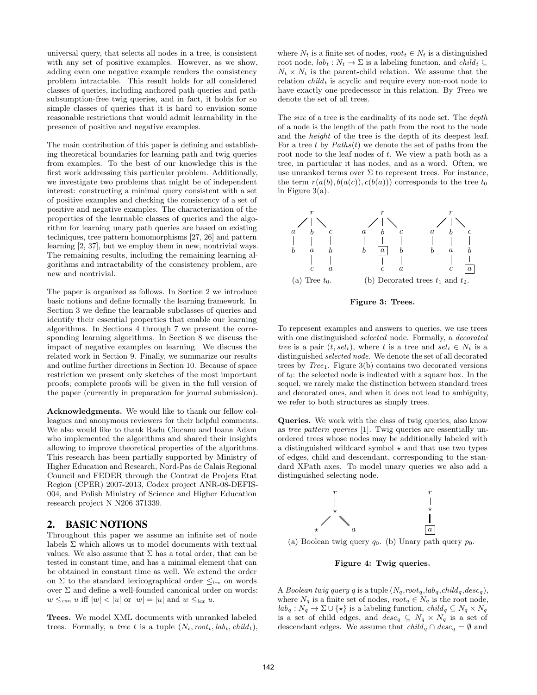universal query, that selects all nodes in a tree, is consistent with any set of positive examples. However, as we show, adding even one negative example renders the consistency problem intractable. This result holds for all considered classes of queries, including anchored path queries and pathsubsumption-free twig queries, and in fact, it holds for so simple classes of queries that it is hard to envision some reasonable restrictions that would admit learnability in the presence of positive and negative examples.

The main contribution of this paper is defining and establishing theoretical boundaries for learning path and twig queries from examples. To the best of our knowledge this is the first work addressing this particular problem. Additionally, we investigate two problems that might be of independent interest: constructing a minimal query consistent with a set of positive examples and checking the consistency of a set of positive and negative examples. The characterization of the properties of the learnable classes of queries and the algorithm for learning unary path queries are based on existing techniques, tree pattern homomorphisms [27, 26] and pattern learning [2, 37], but we employ them in new, nontrivial ways. The remaining results, including the remaining learning algorithms and intractability of the consistency problem, are new and nontrivial.

The paper is organized as follows. In Section 2 we introduce basic notions and define formally the learning framework. In Section 3 we define the learnable subclasses of queries and identify their essential properties that enable our learning algorithms. In Sections 4 through 7 we present the corresponding learning algorithms. In Section 8 we discuss the impact of negative examples on learning. We discuss the related work in Section 9. Finally, we summarize our results and outline further directions in Section 10. Because of space restriction we present only sketches of the most important proofs; complete proofs will be given in the full version of the paper (currently in preparation for journal submission).

Acknowledgments. We would like to thank our fellow colleagues and anonymous reviewers for their helpful comments. We also would like to thank Radu Ciucanu and Ioana Adam who implemented the algorithms and shared their insights allowing to improve theoretical properties of the algorithms. This research has been partially supported by Ministry of Higher Education and Research, Nord-Pas de Calais Regional Council and FEDER through the Contrat de Projets Etat Region (CPER) 2007-2013, Codex project ANR-08-DEFIS-004, and Polish Ministry of Science and Higher Education research project N N206 371339.

## 2. BASIC NOTIONS

Throughout this paper we assume an infinite set of node labels  $\Sigma$  which allows us to model documents with textual values. We also assume that  $\Sigma$  has a total order, that can be tested in constant time, and has a minimal element that can be obtained in constant time as well. We extend the order on  $\Sigma$  to the standard lexicographical order  $\leq_{lex}$  on words over  $\Sigma$  and define a well-founded canonical order on words:  $w \leq_{can} u$  iff  $|w| < |u|$  or  $|w| = |u|$  and  $w \leq_{lex} u$ .

Trees. We model XML documents with unranked labeled trees. Formally, a tree t is a tuple  $(N_t, root_t, lab_t, child_t)$ , where  $N_t$  is a finite set of nodes,  $root_t \in N_t$  is a distinguished root node,  $lab_t : N_t \to \Sigma$  is a labeling function, and  $child_t \subseteq$  $N_t \times N_t$  is the parent-child relation. We assume that the relation  $child_t$  is acyclic and require every non-root node to have exactly one predecessor in this relation. By  $Tree_0$  we denote the set of all trees.

The *size* of a tree is the cardinality of its node set. The *depth* of a node is the length of the path from the root to the node and the height of the tree is the depth of its deepest leaf. For a tree t by  $Paths(t)$  we denote the set of paths from the root node to the leaf nodes of t. We view a path both as a tree, in particular it has nodes, and as a word. Often, we use unranked terms over  $\Sigma$  to represent trees. For instance, the term  $r(a(b), b(a(c)), c(b(a)))$  corresponds to the tree  $t_0$ in Figure  $3(a)$ .



Figure 3: Trees.

To represent examples and answers to queries, we use trees with one distinguished selected node. Formally, a decorated tree is a pair  $(t, sel_t)$ , where t is a tree and  $sel_t \in N_t$  is a distinguished selected node. We denote the set of all decorated trees by  $Tree_1$ . Figure 3(b) contains two decorated versions of  $t_0$ : the selected node is indicated with a square box. In the sequel, we rarely make the distinction between standard trees and decorated ones, and when it does not lead to ambiguity, we refer to both structures as simply trees.

Queries. We work with the class of twig queries, also know as tree pattern queries [1]. Twig queries are essentially unordered trees whose nodes may be additionally labeled with a distinguished wildcard symbol  $\star$  and that use two types of edges, child and descendant, corresponding to the standard XPath axes. To model unary queries we also add a distinguished selecting node.



(a) Boolean twig query  $q_0$ . (b) Unary path query  $p_0$ .

#### Figure 4: Twig queries.

A Boolean twig query q is a tuple  $(N_q, root_q, lab_q, child_q, desc_q)$ , where  $N_q$  is a finite set of nodes,  $root_q \in N_q$  is the root node,  $lab_{q}: N_{q} \rightarrow \Sigma \cup \{\star\}$  is a labeling function,  $child_{q} \subseteq N_{q} \times N_{q}$ is a set of child edges, and  $desc_q \subseteq N_q \times N_q$  is a set of descendant edges. We assume that  $child_q \cap desc_q = \emptyset$  and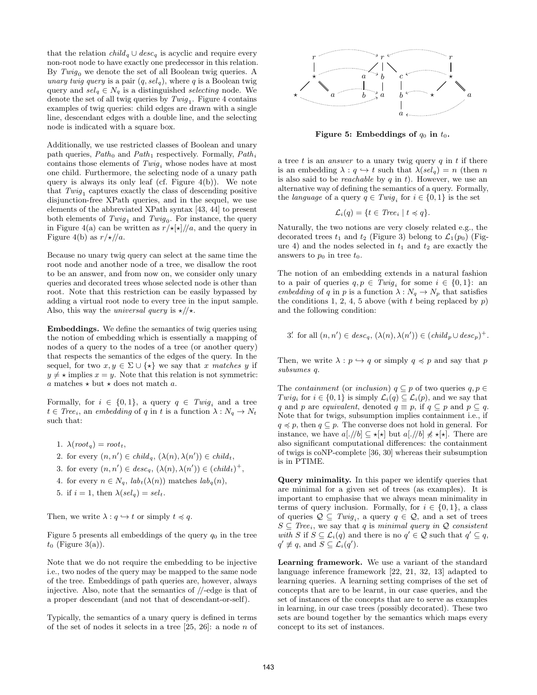that the relation  $child_q \cup desc_q$  is acyclic and require every non-root node to have exactly one predecessor in this relation. By  $Twig_0$  we denote the set of all Boolean twig queries. A unary twig query is a pair  $(q, sel_q)$ , where q is a Boolean twig query and  $sel_q \in N_q$  is a distinguished selecting node. We denote the set of all twig queries by  $Twig_1$ . Figure 4 contains examples of twig queries: child edges are drawn with a single line, descendant edges with a double line, and the selecting node is indicated with a square box.

Additionally, we use restricted classes of Boolean and unary path queries,  $Path_0$  and  $Path_1$  respectively. Formally,  $Path_i$ contains those elements of  $Twig_i$  whose nodes have at most one child. Furthermore, the selecting node of a unary path query is always its only leaf (cf. Figure 4(b)). We note that  $Twig_1$  captures exactly the class of descending positive disjunction-free XPath queries, and in the sequel, we use elements of the abbreviated XPath syntax [43, 44] to present both elements of  $Twig_1$  and  $Twig_0$ . For instance, the query in Figure 4(a) can be written as  $r/\star|\star|/a$ , and the query in Figure 4(b) as  $r/\star/2a$ .

Because no unary twig query can select at the same time the root node and another node of a tree, we disallow the root to be an answer, and from now on, we consider only unary queries and decorated trees whose selected node is other than root. Note that this restriction can be easily bypassed by adding a virtual root node to every tree in the input sample. Also, this way the *universal query* is  $\star/\!\!/\star$ .

Embeddings. We define the semantics of twig queries using the notion of embedding which is essentially a mapping of nodes of a query to the nodes of a tree (or another query) that respects the semantics of the edges of the query. In the sequel, for two  $x, y \in \Sigma \cup \{ \star \}$  we say that x matches y if  $y \neq \star$  implies  $x = y$ . Note that this relation is not symmetric: a matches  $\star$  but  $\star$  does not match a.

Formally, for  $i \in \{0,1\}$ , a query  $q \in \mathit{Twig}_i$  and a tree  $t \in Tree_i$ , an embedding of q in t is a function  $\lambda : N_q \to N_t$ such that:

- 1.  $\lambda(root_q) = root_t$ ,
- 2. for every  $(n, n') \in child_q$ ,  $(\lambda(n), \lambda(n')) \in child_t$ ,
- 3. for every  $(n, n') \in desc_q$ ,  $(\lambda(n), \lambda(n')) \in (child_t)^+$ ,
- 4. for every  $n \in N_q$ ,  $lab_t(\lambda(n))$  matches  $lab_q(n)$ ,
- 5. if  $i = 1$ , then  $\lambda (sel_q) = sel_t$ .

Then, we write  $\lambda: q \hookrightarrow t$  or simply  $t \preccurlyeq q$ .

Figure 5 presents all embeddings of the query  $q_0$  in the tree  $t_0$  (Figure 3(a)).

Note that we do not require the embedding to be injective i.e., two nodes of the query may be mapped to the same node of the tree. Embeddings of path queries are, however, always injective. Also, note that the semantics of //-edge is that of a proper descendant (and not that of descendant-or-self).

Typically, the semantics of a unary query is defined in terms of the set of nodes it selects in a tree  $[25, 26]$ : a node n of



Figure 5: Embeddings of  $q_0$  in  $t_0$ .

a tree  $t$  is an *answer* to a unary twig query  $q$  in  $t$  if there is an embedding  $\lambda : q \hookrightarrow t$  such that  $\lambda(self_q) = n$  (then n is also said to be *reachable* by  $q$  in  $t$ ). However, we use an alternative way of defining the semantics of a query. Formally, the *language* of a query  $q \in Twig_i$  for  $i \in \{0,1\}$  is the set

$$
\mathcal{L}_i(q) = \{ t \in \text{Tree}_i \mid t \preccurlyeq q \}.
$$

Naturally, the two notions are very closely related e.g., the decorated trees  $t_1$  and  $t_2$  (Figure 3) belong to  $\mathcal{L}_1(p_0)$  (Figure 4) and the nodes selected in  $t_1$  and  $t_2$  are exactly the answers to  $p_0$  in tree  $t_0$ .

The notion of an embedding extends in a natural fashion to a pair of queries  $q, p \in \text{Twig}_i$  for some  $i \in \{0, 1\}$ : an embedding of q in p is a function  $\lambda : N_q \to N_p$  that satisfies the conditions 1, 2, 4, 5 above (with t being replaced by  $p$ ) and the following condition:

3'. for all 
$$
(n, n') \in desc_q
$$
,  $(\lambda(n), \lambda(n')) \in (child_p \cup desc_p)^+$ .

Then, we write  $\lambda : p \hookrightarrow q$  or simply  $q \preccurlyeq p$  and say that p subsumes q.

The *containment* (or *inclusion*)  $q \subseteq p$  of two queries  $q, p \in$ Twig<sub>i</sub> for  $i \in \{0,1\}$  is simply  $\mathcal{L}_i(q) \subseteq \mathcal{L}_i(p)$ , and we say that q and p are equivalent, denoted  $q \equiv p$ , if  $q \subseteq p$  and  $p \subseteq q$ . Note that for twigs, subsumption implies containment i.e., if  $q \preccurlyeq p$ , then  $q \subseteq p$ . The converse does not hold in general. For instance, we have  $a[.//b] \subseteq \star[\star]$  but  $a[.//b] \not\preccurlyeq \star[\star]$ . There are also significant computational differences: the containment of twigs is coNP-complete [36, 30] whereas their subsumption is in PTIME.

Query minimality. In this paper we identify queries that are minimal for a given set of trees (as examples). It is important to emphasise that we always mean minimality in terms of query inclusion. Formally, for  $i \in \{0,1\}$ , a class of queries  $Q \subseteq \text{Twig}_i$ , a query  $q \in Q$ , and a set of trees  $S \subseteq Tree_i$ , we say that q is minimal query in Q consistent with S if  $S \subseteq \mathcal{L}_i(q)$  and there is no  $q' \in \mathcal{Q}$  such that  $q' \subseteq q$ ,  $q' \not\equiv q$ , and  $S \subseteq \overline{\mathcal{L}_i(q')}$ .

Learning framework. We use a variant of the standard language inference framework [22, 21, 32, 13] adapted to learning queries. A learning setting comprises of the set of concepts that are to be learnt, in our case queries, and the set of instances of the concepts that are to serve as examples in learning, in our case trees (possibly decorated). These two sets are bound together by the semantics which maps every concept to its set of instances.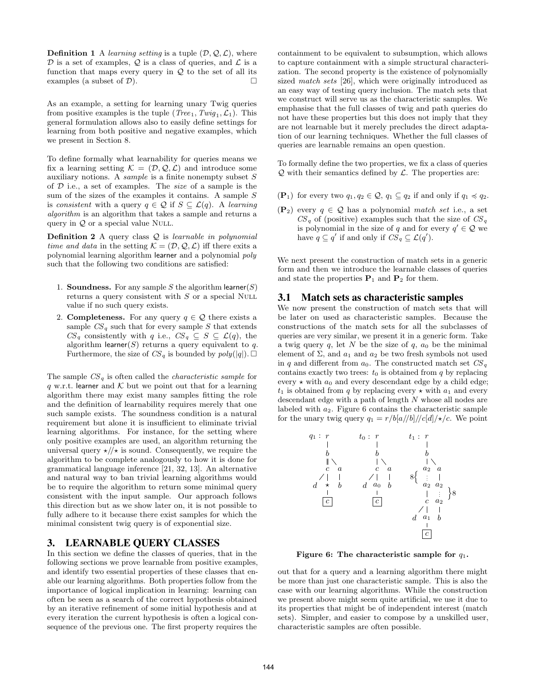**Definition 1** A learning setting is a tuple  $(\mathcal{D}, \mathcal{Q}, \mathcal{L})$ , where  $\mathcal D$  is a set of examples,  $\mathcal Q$  is a class of queries, and  $\mathcal L$  is a function that maps every query in  $Q$  to the set of all its examples (a subset of  $D$ ).

As an example, a setting for learning unary Twig queries from positive examples is the tuple  $(Tree_1, Twig_1, \mathcal{L}_1)$ . This general formulation allows also to easily define settings for learning from both positive and negative examples, which we present in Section 8.

To define formally what learnability for queries means we fix a learning setting  $\mathcal{K} = (\mathcal{D}, \mathcal{Q}, \mathcal{L})$  and introduce some auxiliary notions. A *sample* is a finite nonempty subset  $S$ of  $D$  i.e., a set of examples. The *size* of a sample is the sum of the sizes of the examples it contains. A sample  $S$ is consistent with a query  $q \in \mathcal{Q}$  if  $S \subseteq \mathcal{L}(q)$ . A learning algorithm is an algorithm that takes a sample and returns a query in  $Q$  or a special value NULL.

**Definition 2** A query class  $Q$  is learnable in polynomial time and data in the setting  $\mathcal{K} = (\mathcal{D}, \mathcal{Q}, \mathcal{L})$  iff there exits a polynomial learning algorithm learner and a polynomial poly such that the following two conditions are satisfied:

- 1. **Soundness.** For any sample S the algorithm learner(S) returns a query consistent with  $S$  or a special NuLL value if no such query exists.
- 2. **Completeness.** For any query  $q \in \mathcal{Q}$  there exists a sample  $CS_q$  such that for every sample S that extends  $CS_q$  consistently with q i.e.,  $CS_q \subseteq S \subseteq \mathcal{L}(q)$ , the algorithm learner(S) returns a query equivalent to q. Furthermore, the size of  $CS_q$  is bounded by  $poly(|q|)$ .  $\square$

The sample  $CS_q$  is often called the *characteristic sample* for q w.r.t. learner and  $K$  but we point out that for a learning algorithm there may exist many samples fitting the role and the definition of learnability requires merely that one such sample exists. The soundness condition is a natural requirement but alone it is insufficient to eliminate trivial learning algorithms. For instance, for the setting where only positive examples are used, an algorithm returning the universal query  $\star/\!/ \star$  is sound. Consequently, we require the algorithm to be complete analogously to how it is done for grammatical language inference [21, 32, 13]. An alternative and natural way to ban trivial learning algorithms would be to require the algorithm to return some minimal query consistent with the input sample. Our approach follows this direction but as we show later on, it is not possible to fully adhere to it because there exist samples for which the minimal consistent twig query is of exponential size.

# 3. LEARNABLE QUERY CLASSES

In this section we define the classes of queries, that in the following sections we prove learnable from positive examples, and identify two essential properties of these classes that enable our learning algorithms. Both properties follow from the importance of logical implication in learning: learning can often be seen as a search of the correct hypothesis obtained by an iterative refinement of some initial hypothesis and at every iteration the current hypothesis is often a logical consequence of the previous one. The first property requires the containment to be equivalent to subsumption, which allows to capture containment with a simple structural characterization. The second property is the existence of polynomially sized match sets [26], which were originally introduced as an easy way of testing query inclusion. The match sets that we construct will serve us as the characteristic samples. We emphasise that the full classes of twig and path queries do not have these properties but this does not imply that they are not learnable but it merely precludes the direct adaptation of our learning techniques. Whether the full classes of queries are learnable remains an open question.

To formally define the two properties, we fix a class of queries  $Q$  with their semantics defined by  $\mathcal{L}$ . The properties are:

- $(\mathbf{P}_1)$  for every two  $q_1, q_2 \in \mathcal{Q}, q_1 \subseteq q_2$  if and only if  $q_1 \preccurlyeq q_2$ .
- $(\mathbf{P}_2)$  every  $q \in \mathcal{Q}$  has a polynomial match set i.e., a set  $CS_q$  of (positive) examples such that the size of  $CS_q$ is polynomial in the size of q and for every  $q' \in \mathcal{Q}$  we have  $q \subseteq q'$  if and only if  $CS_q \subseteq \mathcal{L}(q')$ .

We next present the construction of match sets in a generic form and then we introduce the learnable classes of queries and state the properties  $P_1$  and  $P_2$  for them.

#### 3.1 Match sets as characteristic samples

We now present the construction of match sets that will be later on used as characteristic samples. Because the constructions of the match sets for all the subclasses of queries are very similar, we present it in a generic form. Take a twig query q, let N be the size of q,  $a_0$  be the minimal element of  $\Sigma$ , and  $a_1$  and  $a_2$  be two fresh symbols not used in q and different from  $a_0$ . The constructed match set  $CS_q$ contains exactly two trees:  $t_0$  is obtained from q by replacing every  $\star$  with  $a_0$  and every descendant edge by a child edge;  $t_1$  is obtained from q by replacing every  $\star$  with  $a_1$  and every descendant edge with a path of length N whose all nodes are labeled with  $a_2$ . Figure 6 contains the characteristic sample for the unary twig query  $q_1 = r/b[a//b]/c[d]/\star/c$ . We point



Figure 6: The characteristic sample for  $q_1$ .

out that for a query and a learning algorithm there might be more than just one characteristic sample. This is also the case with our learning algorithms. While the construction we present above might seem quite artificial, we use it due to its properties that might be of independent interest (match sets). Simpler, and easier to compose by a unskilled user, characteristic samples are often possible.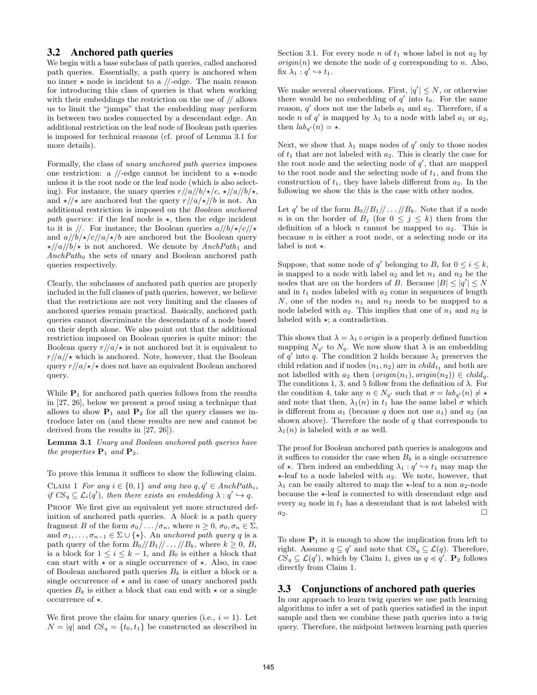# 3.2 Anchored path queries

We begin with a base subclass of path queries, called anchored path queries. Essentially, a path query is anchored when no inner  $\star$  node is incident to a //-edge. The main reason for introducing this class of queries is that when working with their embeddings the restriction on the use of // allows us to limit the "jumps" that the embedding may perform in between two nodes connected by a descendant edge. An additional restriction on the leaf node of Boolean path queries is imposed for technical reasons (cf. proof of Lemma 3.1 for more details).

Formally, the class of unary anchored path queries imposes one restriction: a  $\frac{1}{4}$ -edge cannot be incident to a  $\star$ -node unless it is the root node or the leaf node (which is also selecting). For instance, the unary queries  $r/|a|/b/\star/c$ ,  $\star/|a|/b/\star$ , and  $\star/\star$  are anchored but the query  $r/\langle a/\star/\langle b \rangle$  is not. An additional restriction is imposed on the Boolean anchored path queries: if the leaf node is  $\star$ , then the edge incident to it is //. For instance, the Boolean queries  $a/|b/\star/c|/\star$ and  $a/\sqrt{b}/\star/c/\sqrt{a}/\star/b$  are anchored but the Boolean query  $\star$ //a//b/ $\star$  is not anchored. We denote by AnchPath<sub>1</sub> and  $AnchPath<sub>0</sub>$  the sets of unary and Boolean anchored path queries respectively.

Clearly, the subclasses of anchored path queries are properly included in the full classes of path queries, however, we believe that the restrictions are not very limiting and the classes of anchored queries remain practical. Basically, anchored path queries cannot discriminate the descendants of a node based on their depth alone. We also point out that the additional restriction imposed on Boolean queries is quite minor: the Boolean query  $r/\sqrt{a}/\star$  is not anchored but it is equivalent to  $r/\sqrt{a}/\star$  which is anchored. Note, however, that the Boolean query  $r/\langle a/\star/\star$  does not have an equivalent Boolean anchored query.

While  $P_1$  for anchored path queries follows from the results in [27, 26], below we present a proof using a technique that allows to show  $P_1$  and  $P_2$  for all the query classes we introduce later on (and these results are new and cannot be derived from the results in [27, 26]).

Lemma 3.1 Unary and Boolean anchored path queries have the properties  $P_1$  and  $P_2$ .

To prove this lemma it suffices to show the following claim.

CLAIM 1 For any  $i \in \{0,1\}$  and any two  $q, q' \in AnchPath_i$ , if  $CS_q \subseteq \mathcal{L}_i(q')$ , then there exists an embedding  $\lambda: q' \hookrightarrow q$ . PROOF We first give an equivalent yet more structured definition of anchored path queries. A *block* is a path query fragment B of the form  $\sigma_0 / \ldots / \sigma_n$ , where  $n \geq 0$ ,  $\sigma_0, \sigma_n \in \Sigma$ , and  $\sigma_1, \ldots, \sigma_{n-1} \in \Sigma \cup \{\star\}.$  An anchored path query q is a path query of the form  $B_0/\sqrt{B_1/\sqrt{\ldots}}$  // $B_k$ , where  $k \geq 0$ ,  $B_i$ is a block for  $1 \leq i \leq k-1$ , and  $B_0$  is either a block that can start with  $\star$  or a single occurrence of  $\star$ . Also, in case of Boolean anchored path queries  $B_k$  is either a block or a single occurrence of  $\star$  and in case of unary anchored path queries  $B_k$  is either a block that can end with  $\star$  or a single occurrence of  $\star$ .

We first prove the claim for unary queries (i.e.,  $i = 1$ ). Let  $N = |q|$  and  $CS_q = \{t_0, t_1\}$  be constructed as described in Section 3.1. For every node *n* of  $t_1$  whose label is not  $a_2$  by  $origin(n)$  we denote the node of q corresponding to n. Also, fix  $\lambda_1 : q' \hookrightarrow t_1$ .

We make several observations. First,  $|q'| \leq N$ , or otherwise there would be no embedding of  $q'$  into  $t_0$ . For the same reason,  $q'$  does not use the labels  $a_1$  and  $a_2$ . Therefore, if a node *n* of  $q'$  is mapped by  $\lambda_1$  to a node with label  $a_1$  or  $a_2$ , then  $lab_{q'}(n) = \star$ .

Next, we show that  $\lambda_1$  maps nodes of  $q'$  only to those nodes of  $t_1$  that are not labeled with  $a_2$ . This is clearly the case for the root node and the selecting node of  $q'$ , that are mapped to the root node and the selecting node of  $t_1$ , and from the construction of  $t_1$ , they have labels different from  $a_2$ . In the following we show the this is the case with other nodes.

Let q' be of the form  $B_0/|B_1|/\ldots/|B_k$ . Note that if a node *n* is on the border of  $B_j$  (for  $0 \leq j \leq k$ ) then from the definition of a block  $n$  cannot be mapped to  $a_2$ . This is because  $n$  is either a root node, or a selecting node or its label is not  $\star$ .

Suppose, that some node of q' belonging to  $B_i$  for  $0 \le i \le k$ , is mapped to a node with label  $a_2$  and let  $n_1$  and  $n_2$  be the nodes that are on the borders of B. Because  $|B| \leq |q'| \leq N$ and in  $t_1$  nodes labeled with  $a_2$  come in sequences of length N, one of the nodes  $n_1$  and  $n_2$  needs to be mapped to a node labeled with  $a_2$ . This implies that one of  $n_1$  and  $n_2$  is labeled with  $\star$ ; a contradiction.

This shows that  $\lambda = \lambda_1 \circ origin$  is a properly defined function mapping  $N_{q'}$  to  $N_q$ . We now show that  $\lambda$  is an embedding of q' into q. The condition 2 holds because  $\lambda_1$  preserves the child relation and if nodes  $(n_1, n_2)$  are in  $child_{t_1}$  and both are not labelled with  $a_2$  then  $(origin(n_1), origin(n_2)) \in child_q$ . The conditions 1, 3, and 5 follow from the definition of  $\lambda$ . For the condition 4, take any  $n \in N_{q'}$  such that  $\sigma = lab_{q'}(n) \neq \star$ and note that then,  $\lambda_1(n)$  in  $t_1$  has the same label  $\sigma$  which is different from  $a_1$  (because q does not use  $a_1$ ) and  $a_2$  (as shown above). Therefore the node of  $q$  that corresponds to  $\lambda_1(n)$  is labeled with  $\sigma$  as well.

The proof for Boolean anchored path queries is analogous and it suffices to consider the case when  $B_k$  is a single occurrence of  $\star$ . Then indeed an embedding  $\lambda_1 : q' \hookrightarrow t_1$  may map the  $\star$ -leaf to a node labeled with  $a_2$ . We note, however, that  $\lambda_1$  can be easily altered to map the  $\star$ -leaf to a non  $a_2$ -node because the  $\star$ -leaf is connected to with descendant edge and every  $a_2$  node in  $t_1$  has a descendant that is not labeled with  $a_2$ .

To show  $P_1$  it is enough to show the implication from left to right. Assume  $q \subseteq q'$  and note that  $CS_q \subseteq \mathcal{L}(q)$ . Therefore,  $CS_q \subseteq \mathcal{L}(q')$ , which by Claim 1, gives us  $q \preccurlyeq q'$ .  $\mathbf{P}_2$  follows directly from Claim 1.

## 3.3 Conjunctions of anchored path queries

In our approach to learn twig queries we use path learning algorithms to infer a set of path queries satisfied in the input sample and then we combine these path queries into a twig query. Therefore, the midpoint between learning path queries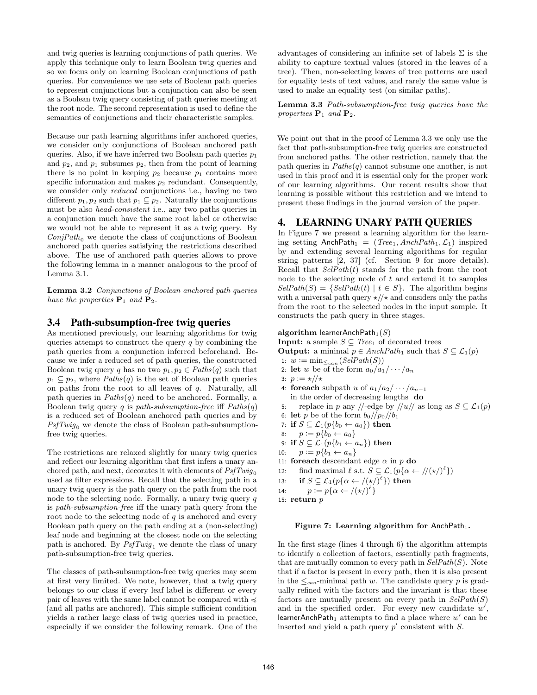and twig queries is learning conjunctions of path queries. We apply this technique only to learn Boolean twig queries and so we focus only on learning Boolean conjunctions of path queries. For convenience we use sets of Boolean path queries to represent conjunctions but a conjunction can also be seen as a Boolean twig query consisting of path queries meeting at the root node. The second representation is used to define the semantics of conjunctions and their characteristic samples.

Because our path learning algorithms infer anchored queries, we consider only conjunctions of Boolean anchored path queries. Also, if we have inferred two Boolean path queries  $p_1$ and  $p_2$ , and  $p_1$  subsumes  $p_2$ , then from the point of learning there is no point in keeping  $p_2$  because  $p_1$  contains more specific information and makes  $p_2$  redundant. Consequently, we consider only *reduced* conjunctions i.e., having no two different  $p_1, p_2$  such that  $p_1 \subseteq p_2$ . Naturally the conjunctions must be also head-consistent i.e., any two paths queries in a conjunction much have the same root label or otherwise we would not be able to represent it as a twig query. By  $ConjPath<sub>0</sub>$  we denote the class of conjunctions of Boolean anchored path queries satisfying the restrictions described above. The use of anchored path queries allows to prove the following lemma in a manner analogous to the proof of Lemma 3.1.

Lemma 3.2 Conjunctions of Boolean anchored path queries have the properties  $P_1$  and  $P_2$ .

## 3.4 Path-subsumption-free twig queries

As mentioned previously, our learning algorithms for twig queries attempt to construct the query  $q$  by combining the path queries from a conjunction inferred beforehand. Because we infer a reduced set of path queries, the constructed Boolean twig query q has no two  $p_1, p_2 \in Paths(q)$  such that  $p_1 \nsubseteq p_2$ , where  $Paths(q)$  is the set of Boolean path queries on paths from the root to all leaves of  $q$ . Naturally, all path queries in  $Paths(q)$  need to be anchored. Formally, a Boolean twig query q is path-subsumption-free iff  $Paths(q)$ is a reduced set of Boolean anchored path queries and by  $PsfTwig<sub>0</sub>$  we denote the class of Boolean path-subsumptionfree twig queries.

The restrictions are relaxed slightly for unary twig queries and reflect our learning algorithm that first infers a unary anchored path, and next, decorates it with elements of  $PsfTwig_0$ used as filter expressions. Recall that the selecting path in a unary twig query is the path query on the path from the root node to the selecting node. Formally, a unary twig query q is path-subsumption-free iff the unary path query from the root node to the selecting node of  $q$  is anchored and every Boolean path query on the path ending at a (non-selecting) leaf node and beginning at the closest node on the selecting path is anchored. By  $PsfTwig_1$  we denote the class of unary path-subsumption-free twig queries.

The classes of path-subsumption-free twig queries may seem at first very limited. We note, however, that a twig query belongs to our class if every leaf label is different or every pair of leaves with the same label cannot be compared with  $\preccurlyeq$ (and all paths are anchored). This simple sufficient condition yields a rather large class of twig queries used in practice, especially if we consider the following remark. One of the advantages of considering an infinite set of labels  $\Sigma$  is the ability to capture textual values (stored in the leaves of a tree). Then, non-selecting leaves of tree patterns are used for equality tests of text values, and rarely the same value is used to make an equality test (on similar paths).

Lemma 3.3 Path-subsumption-free twig queries have the properties  $P_1$  and  $P_2$ .

We point out that in the proof of Lemma 3.3 we only use the fact that path-subsumption-free twig queries are constructed from anchored paths. The other restriction, namely that the path queries in  $Paths(q)$  cannot subsume one another, is not used in this proof and it is essential only for the proper work of our learning algorithms. Our recent results show that learning is possible without this restriction and we intend to present these findings in the journal version of the paper.

# 4. LEARNING UNARY PATH QUERIES

In Figure 7 we present a learning algorithm for the learning setting  $AnchPath_1 = (Tree_1, AnchPath_1, \mathcal{L}_1)$  inspired by and extending several learning algorithms for regular string patterns [2, 37] (cf. Section 9 for more details). Recall that  $SelPath(t)$  stands for the path from the root node to the selecting node of  $t$  and extend it to samples  $SelPath(S) = \{SelPath(t) | t \in S\}$ . The algorithm begins with a universal path query  $\star/\!/ \star$  and considers only the paths from the root to the selected nodes in the input sample. It constructs the path query in three stages.

#### algorithm learnerAnchPath<sub>1</sub> $(S)$

**Input:** a sample  $S \subseteq Tree_1$  of decorated trees

**Output:** a minimal  $p \in AnchPath_1$  such that  $S \subseteq \mathcal{L}_1(p)$ 

- 1:  $w := \min_{\leq can} (SelPath(S))$
- 2: let  $w$  be of the form  $a_0/a_1/\cdots/a_n$
- 3:  $p := \star/\!/ \star$
- 4: **foreach** subpath u of  $a_1/a_2/\cdots/a_{n-1}$ in the order of decreasing lengths do
- 5: replace in p any //-edge by //u// as long as  $S \subseteq \mathcal{L}_1(p)$
- 6: let p be of the form  $b_0/\langle p_0/\rangle b_1$
- 7: if  $S \subseteq \mathcal{L}_1(p\{b_0 \leftarrow a_0\})$  then
- 8:  $p := p\{b_0 \leftarrow a_0\}$
- 9: if  $S \subseteq \mathcal{L}_1(p\{b_1 \leftarrow a_n\})$  then
- 10:  $p := p\{b_1 \leftarrow a_n\}$
- 11: for each descendant edge  $\alpha$  in  $p$  do
- 12: find maximal  $\ell$  s.t.  $S \subseteq \mathcal{L}_1(p\{\alpha \leftarrow //(\star/\})^{\ell})$
- 13: if  $S \subseteq \mathcal{L}_1(p \{\alpha \leftarrow / (\star /)^{\ell} \})$  then
- 14:  $p := p\{\alpha \leftarrow / (\star/\})^{\ell}\}$

15:  $return p$ 

#### Figure 7: Learning algorithm for AnchPath<sub>1</sub>.

In the first stage (lines 4 through 6) the algorithm attempts to identify a collection of factors, essentially path fragments, that are mutually common to every path in  $SelPath(S)$ . Note that if a factor is present in every path, then it is also present in the  $\leq_{can}$ -minimal path w. The candidate query p is gradually refined with the factors and the invariant is that these factors are mutually present on every path in  $SelPath(S)$ and in the specified order. For every new candidate  $w'$ , learnerAnchPath<sub>1</sub> attempts to find a place where  $w'$  can be inserted and yield a path query  $p'$  consistent with  $S$ .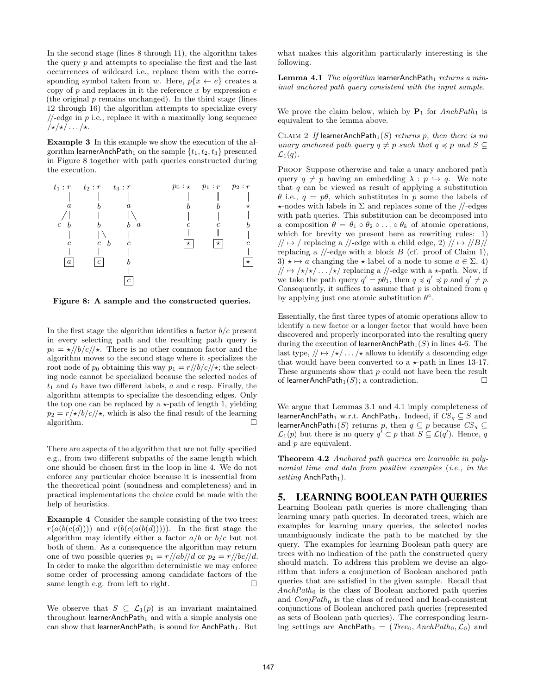In the second stage (lines 8 through 11), the algorithm takes the query p and attempts to specialise the first and the last occurrences of wildcard i.e., replace them with the corresponding symbol taken from w. Here,  $p\{x \leftarrow e\}$  creates a copy of  $p$  and replaces in it the reference  $x$  by expression  $e$ (the original  $p$  remains unchanged). In the third stage (lines 12 through 16) the algorithm attempts to specialize every  $\mathcal{N}$ -edge in  $p$  i.e., replace it with a maximally long sequence  $/\star/\star/\ldots/\star.$ 

Example 3 In this example we show the execution of the algorithm learnerAnchPath<sub>1</sub> on the sample  $\{t_1, t_2, t_3\}$  presented in Figure 8 together with path queries constructed during the execution.



Figure 8: A sample and the constructed queries.

In the first stage the algorithm identifies a factor  $b/c$  present in every selecting path and the resulting path query is  $p_0 = \star / \langle b/c / \rangle \star$ . There is no other common factor and the algorithm moves to the second stage where it specializes the root node of  $p_0$  obtaining this way  $p_1 = r/\frac{b}{c^2}$ ; the selecting node cannot be specialized because the selected nodes of  $t_1$  and  $t_2$  have two different labels, a and c resp. Finally, the algorithm attempts to specialize the descending edges. Only the top one can be replaced by a  $\star$ -path of length 1, yielding  $p_2 = r/\star/b/c/\star$ , which is also the final result of the learning algorithm.  $\Box$ 

There are aspects of the algorithm that are not fully specified e.g., from two different subpaths of the same length which one should be chosen first in the loop in line 4. We do not enforce any particular choice because it is inessential from the theoretical point (soundness and completeness) and in practical implementations the choice could be made with the help of heuristics.

Example 4 Consider the sample consisting of the two trees:  $r(a(b(c(d))))$  and  $r(b(c(a(b(d)))))$ . In the first stage the algorithm may identify either a factor  $a/b$  or  $b/c$  but not both of them. As a consequence the algorithm may return one of two possible queries  $p_1 = r/\langle ab/\langle d \rangle \text{ or } p_2 = r/\langle bc/\langle d \rangle \text{.}$ In order to make the algorithm deterministic we may enforce some order of processing among candidate factors of the same length e.g. from left to right.

We observe that  $S \subseteq \mathcal{L}_1(p)$  is an invariant maintained throughout learnerAnchPath<sub>1</sub> and with a simple analysis one can show that learnerAnchPath<sub>1</sub> is sound for AnchPath<sub>1</sub>. But what makes this algorithm particularly interesting is the following.

Lemma 4.1 The algorithm learnerAnchPath<sub>1</sub> returns a minimal anchored path query consistent with the input sample.

We prove the claim below, which by  $P_1$  for  $AnchPath_1$  is equivalent to the lemma above.

CLAIM 2 If learnerAnchPath<sub>1</sub>(S) returns p, then there is no unary anchored path query  $q \neq p$  such that  $q \preccurlyeq p$  and  $S \subseteq$  $\mathcal{L}_1(q)$ .

PROOF Suppose otherwise and take a unary anchored path query  $q \neq p$  having an embedding  $\lambda : p \hookrightarrow q$ . We note that  $q$  can be viewed as result of applying a substitution θ i.e., q = pθ, which substitutes in p some the labels of  $\star$ -nodes with labels in  $\Sigma$  and replaces some of the //-edges with path queries. This substitution can be decomposed into a composition  $\theta = \theta_1 \circ \theta_2 \circ \ldots \circ \theta_k$  of atomic operations, which for brevity we present here as rewriting rules: 1)  $//\rightarrow$  / replacing a //-edge with a child edge, 2)  $//\rightarrow$  //B// replacing a  $\ell$ -edge with a block B (cf. proof of Claim 1), 3)  $\star \mapsto a$  changing the  $\star$  label of a node to some  $a \in \Sigma$ , 4)  $//\rightarrow$  / $\star$ / $\star$ .../ $\star$ / replacing a //-edge with a  $\star$ -path. Now, if we take the path query  $q' = p\ddot{\theta}_1$ , then  $q \preccurlyeq q' \preccurlyeq p$  and  $q' \neq p$ . Consequently, it suffices to assume that  $p$  is obtained from  $q$ by applying just one atomic substitution  $\theta^{\circ}$ .

Essentially, the first three types of atomic operations allow to identify a new factor or a longer factor that would have been discovered and properly incorporated into the resulting query during the execution of learnerAnchPath $_1(S)$  in lines 4-6. The last type,  $// \mapsto \rightarrow/ \cdot$ ... / $\star$  allows to identify a descending edge that would have been converted to a  $\star$ -path in lines 13-17. These arguments show that  $p$  could not have been the result of learnerAnchPath<sub>1</sub> $(S)$ ; a contradiction.

We argue that Lemmas 3.1 and 4.1 imply completeness of learnerAnchPath<sub>1</sub> w.r.t. AnchPath<sub>1</sub>. Indeed, if  $CS_q \subseteq S$  and learnerAnchPath<sub>1</sub>(S) returns p, then  $q \subseteq p$  because  $CS_q \subseteq$  $\mathcal{L}_1(p)$  but there is no query  $q' \subset p$  that  $S \subseteq \mathcal{L}(q')$ . Hence, q and p are equivalent.

Theorem 4.2 Anchored path queries are learnable in polynomial time and data from positive examples (i.e., in the setting  $AnchPath<sub>1</sub>$ ).

## 5. LEARNING BOOLEAN PATH QUERIES

Learning Boolean path queries is more challenging than learning unary path queries. In decorated trees, which are examples for learning unary queries, the selected nodes unambiguously indicate the path to be matched by the query. The examples for learning Boolean path query are trees with no indication of the path the constructed query should match. To address this problem we devise an algorithm that infers a conjunction of Boolean anchored path queries that are satisfied in the given sample. Recall that  $AnchPath<sub>0</sub>$  is the class of Boolean anchored path queries and  $ConjPath_0$  is the class of reduced and head-consistent conjunctions of Boolean anchored path queries (represented as sets of Boolean path queries). The corresponding learning settings are AnchPath<sub>0</sub> = (Tree<sub>0</sub>,  $AnchPath_0$ ,  $\mathcal{L}_0$ ) and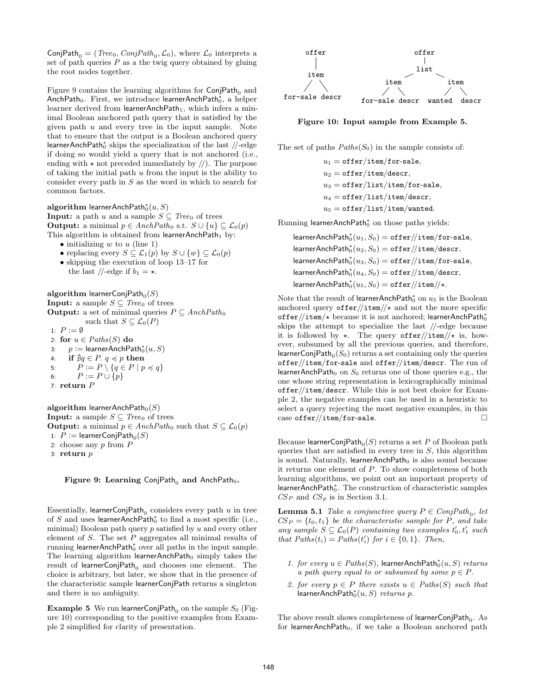ConjPath<sub>0</sub> = (*Tree*<sub>0</sub>, *ConjPath*<sub>0</sub>,  $\mathcal{L}_0$ ), where  $\mathcal{L}_0$  interprets a set of path queries  $P$  as a the twig query obtained by gluing the root nodes together.

Figure 9 contains the learning algorithms for  $ConjPath<sub>0</sub>$  and AnchPath<sub>0</sub>. First, we introduce learnerAnchPath<sup>\*</sup><sub>0</sub>, a helper learner derived from learnerAnchPath<sub>1</sub>, which infers a minimal Boolean anchored path query that is satisfied by the given path  $u$  and every tree in the input sample. Note that to ensure that the output is a Boolean anchored query learnerAnchPath<sup>\*</sup> skips the specialization of the last //-edge if doing so would yield a query that is not anchored (i.e., ending with  $\star$  not preceded immediately by  $\ell$ . The purpose of taking the initial path  $u$  from the input is the ability to consider every path in S as the word in which to search for common factors.

algorithm learner $\mathsf{AnchPath}^*_0(u, S)$ 

**Input:** a path u and a sample  $S \subseteq Tree_0$  of trees **Output:** a minimal  $p \in AnchPath_0$  s.t.  $S \cup \{u\} \subseteq \mathcal{L}_0(p)$ This algorithm is obtained from learnerAnchPath<sub>1</sub> by:

- initializing  $w$  to  $u$  (line 1)
- replacing every  $S \subseteq \mathcal{L}_1(p)$  by  $S \cup \{w\} \subseteq \mathcal{L}_0(p)$
- skipping the execution of loop 13–17 for the last //-edge if  $b_1 = \star$ .

 ${\bf algorithm}$  learner ${\sf ConjPath}_0(S)$ **Input:** a sample  $S \subseteq Tree_0$  of trees **Output:** a set of minimal queries  $P \subseteq AnchPath_0$ such that  $S \subseteq \mathcal{L}_0(P)$ 1:  $P := \emptyset$ 2: for  $u \in Paths(S)$  do 3:  $p :=$  learner Anch Path $_0^*(u, S)$ 4: if  $\nexists q \in P$ .  $q \preccurlyeq p$  then 5:  $P := P \setminus \{q \in P \mid p \preccurlyeq q\}$ 6:  $P := P \cup \{p\}$ 7: return P

algorithm learnerAnchPath $_0(S)$ **Input:** a sample  $S \subseteq Tree_0$  of trees **Output:** a minimal  $p \in AnchPath_0$  such that  $S \subseteq \mathcal{L}_0(p)$ 1:  $P \mathrel{\mathop:}= \mathsf{learnerConjPath}_0(S)$ 2: choose any p from P 3: return  $p$ 

Figure 9: Learning Conj $Path_{0}$  and AnchPath $_{0}$ .

Essentially, learnerConjPath $_0$  considers every path  $u$  in tree of S and uses learnerAnchPath<sup>\*</sup> to find a most specific (i.e., minimal) Boolean path query  $p$  satisfied by  $u$  and every other element of  $S$ . The set  $P$  aggregates all minimal results of running learnerAnchPath<sup>\*</sup> over all paths in the input sample. The learning algorithm learnerAnchPath $_0$  simply takes the result of learnerConjPath $_0$  and chooses one element. The choice is arbitrary, but later, we show that in the presence of the characteristic sample learnerConjPath returns a singleton and there is no ambiguity.

**Example 5** We run learnerConjPath<sub>0</sub> on the sample  $S_0$  (Figure 10) corresponding to the positive examples from Example 2 simplified for clarity of presentation.



Figure 10: Input sample from Example 5.

The set of paths  $Paths(S_0)$  in the sample consists of:

 $u_1 = \text{offer}/\text{item}/\text{for-sale},$  $u_2 = \text{offer}/\text{item}/\text{descr},$  $u_3 =$  offer/list/item/for-sale,  $u_4 = \text{offer/list/item/descr},$  $u_5 =$  offer/list/item/wanted.

Running learnerAnchPath<sup>\*</sup> on those paths yields:

learner ${\sf{ArchPath}}^*_0(u_1,S_0) = {\sf offer} /\!/ {\sf item}/ {\sf for\text{-} sale},$ learner $\mathsf{AnchPath}^*_0(u_2,S_0) = \mathsf{offer} \text{/(item/descr)},$ learner $\mathsf{AnchPath}^*_0(u_3, S_0) = \mathsf{offer} \text{ // item} / \mathsf{for\text{-} sale},$ learner $\mathsf{AnchPath}^*_0(u_4, S_0) = \mathsf{offer} \text{ //item}/\mathsf{descr},$ learner $\mathsf{AnchPath}^*_0(u_5, S_0) = \mathsf{offer} \mathsf{//item} \mathsf{//} \star.$ 

Note that the result of learnerAnchPath $_0^*$  on  $u_5$  is the Boolean anchored query  $offer//item//*$  and not the more specific offer//item/\* because it is not anchored; learnerAnchPath<sup>\*</sup> skips the attempt to specialize the last //-edge because it is followed by  $\star$ . The query offer//item// $\star$  is, however, subsumed by all the previous queries, and therefore, learner $\mathsf{ConjPath}_{0}(S_{0})$  returns a set containing only the queries offer//item/for-sale and offer//item/descr. The run of learnerAnchPath<sub>0</sub> on  $S_0$  returns one of those queries e.g., the one whose string representation is lexicographically minimal offer//item/descr. While this is not best choice for Example 2, the negative examples can be used in a heuristic to select a query rejecting the most negative examples, in this case offer//item/for-sale.  $\square$ 

Because learner $\mathsf{ConjPath}_{0}(S)$  returns a set  $P$  of Boolean path queries that are satisfied in every tree in  $S$ , this algorithm is sound. Naturally, learnerAnchPath $_0$  is also sound because it returns one element of P. To show completeness of both learning algorithms, we point out an important property of learnerAnchPath<sup>\*</sup><sub>0</sub>. The construction of characteristic samples  $CS_P$  and  $CS_p$  is in Section 3.1.

**Lemma 5.1** Take a conjunctive query  $P \in ConjPath_0$ , let  $CS_P = \{t_0, t_1\}$  be the characteristic sample for P, and take any sample  $S \subseteq \mathcal{L}_0(P)$  containing two examples  $t'_0, t'_1$  such that  $Paths(t_i) = Paths(t'_i)$  for  $i \in \{0, 1\}$ . Then,

- 1. for every  $u \in Paths(S)$ , learnerAnchPath $_0^*(u, S)$  returns a path query equal to or subsumed by some  $p \in P$ .
- 2. for every  $p \in P$  there exists  $u \in Paths(S)$  such that learner $AnchPath_0^*(u, S)$  returns  $p$ .

The above result shows completeness of learnerConjPath $_0$ . As for learnerAnchPath<sub>0</sub>, if we take a Boolean anchored path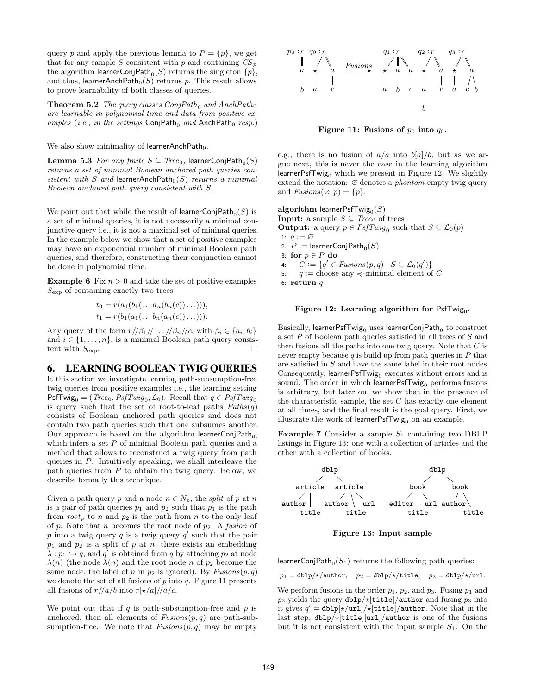query p and apply the previous lemma to  $P = \{p\}$ , we get that for any sample S consistent with p and containing  $CS_p$ the algorithm learnerConjPath $_0(S)$  returns the singleton  $\{p\},$ and thus, learnerAnchPath<sub>0</sub>(S) returns p. This result allows to prove learnability of both classes of queries.

**Theorem 5.2** The query classes  $ConjPath_0$  and  $ArchPath_0$ are learnable in polynomial time and data from positive examples (i.e., in the settings  $\text{ConjPath}_{0}$  and AnchPath<sub>0</sub> resp.)

We also show minimality of learnerAnchPath<sub>0</sub>.

 ${\bf Lemma~5.3}$   $\emph{For any finite $S \subseteq Tree_0$, learnedConjPath}_0(S)$ returns a set of minimal Boolean anchored path queries consistent with S and learnerAnchPath $_0(S)$  returns a minimal Boolean anchored path query consistent with S.

We point out that while the result of learnerConjPath $_0(S)$  is a set of minimal queries, it is not necessarily a minimal conjunctive query i.e., it is not a maximal set of minimal queries. In the example below we show that a set of positive examples may have an exponential number of minimal Boolean path queries, and therefore, constructing their conjunction cannot be done in polynomial time.

**Example 6** Fix  $n > 0$  and take the set of positive examples  $S_{\text{exp}}$  of containing exactly two trees

$$
t_0 = r(a_1(b_1(\ldots a_n(b_n(c))\ldots))),
$$
  

$$
t_1 = r(b_1(a_1(\ldots b_n(a_n(c))\ldots))).
$$

Any query of the form  $r/\beta_1/\beta_1/\beta_n/\beta_2$ , with  $\beta_i \in \{a_i, b_i\}$ and  $i \in \{1, \ldots, n\}$ , is a minimal Boolean path query consistent with  $S_{\text{exp}}$ .

## 6. LEARNING BOOLEAN TWIG QUERIES

It this section we investigate learning path-subsumption-free twig queries from positive examples i.e., the learning setting PsfTwig<sub>0</sub> = (*Tree<sub>0</sub>*,  $PsfTwig_0, \mathcal{L}_0$ ). Recall that  $q \in PsfTwig_0$ is query such that the set of root-to-leaf paths  $Paths(q)$ consists of Boolean anchored path queries and does not contain two path queries such that one subsumes another. Our approach is based on the algorithm learnerConjPath $_0,$ which infers a set  $P$  of minimal Boolean path queries and a method that allows to reconstruct a twig query from path queries in  $P$ . Intuitively speaking, we shall interleave the path queries from  $P$  to obtain the twig query. Below, we describe formally this technique.

Given a path query p and a node  $n \in N_p$ , the split of p at n is a pair of path queries  $p_1$  and  $p_2$  such that  $p_1$  is the path from  $root_p$  to n and  $p_2$  is the path from n to the only leaf of p. Note that n becomes the root node of  $p_2$ . A fusion of p into a twig query q is a twig query  $q'$  such that the pair  $p_1$  and  $p_2$  is a split of  $p$  at  $n$ , there exists an embedding  $\lambda : p_1 \hookrightarrow q$ , and q' is obtained from q by attaching  $p_2$  at node  $\lambda(n)$  (the node  $\lambda(n)$  and the root node n of  $p_2$  become the same node, the label of n in  $p_2$  is ignored). By  $Fusions(p, q)$ we denote the set of all fusions of  $p$  into  $q$ . Figure 11 presents all fusions of  $r/\sqrt{a/b}$  into  $r[\star/a]/a/c$ .

We point out that if  $q$  is path-subsumption-free and  $p$  is anchored, then all elements of  $Fusions(p, q)$  are path-subsumption-free. We note that  $Fusions(p, q)$  may be empty



Figure 11: Fusions of  $p_0$  into  $q_0$ .

e.g., there is no fusion of  $a/a$  into  $b/a/b$ , but as we argue next, this is never the case in the learning algorithm learnerPsfTwig<sub>0</sub> which we present in Figure 12. We slightly extend the notation:  $\varnothing$  denotes a *phantom* empty twig query and  $Fusions(\varnothing, p) = \{p\}.$ 

 $\mathbf{algorithm}$  learner $\mathsf{Ps}\mathsf{fTwig}_0(S)$ **Input:** a sample  $S \subseteq Tree_0$  of trees **Output:** a query  $p \in PsfTwig_0$  such that  $S \subseteq \mathcal{L}_0(p)$ 1:  $q := \varnothing$ 2:  $P:=\mathsf{learnerConjPath}_0(S)$ 3: for  $p \in P$  do 4:  $C := \{q' \in \text{Fusions}(p, q) \mid S \subseteq \mathcal{L}_0(q')\}$ 5:  $q :=$  choose any  $\preccurlyeq$ -minimal element of C 6: return  $q$ 

## Figure 12: Learning algorithm for <code>PsfTwig $_{0}.$ </code>

Basically, learner $\mathsf{PsTwig}_0$  uses learner $\mathsf{ConjPath}_0$  to construct a set P of Boolean path queries satisfied in all trees of S and then fusions all the paths into one twig query. Note that  $C$  is never empty because  $q$  is build up from path queries in  $P$  that are satisfied in S and have the same label in their root nodes. Consequently, learner $\mathsf{Ps} \mathsf{Twig}_0$  executes without errors and is sound. The order in which learnerPsfTwig<sub>0</sub> performs fusions is arbitrary, but later on, we show that in the presence of the characteristic sample, the set  $C$  has exactly one element at all times, and the final result is the goal query. First, we illustrate the work of learner $P$ sfTwig<sub>0</sub> on an example.

**Example 7** Consider a sample  $S_1$  containing two DBLP listings in Figure 13: one with a collection of articles and the other with a collection of books.



Figure 13: Input sample

learner $\mathsf{ConjPath}_{0}(S_1)$  returns the following path queries:

 $p_1 = \text{dblp}/\star/\text{author}, \quad p_2 = \text{dblp}/\star/\text{title}, \quad p_3 = \text{dblp}/\star/\text{url}.$ 

We perform fusions in the order  $p_1$ ,  $p_2$ , and  $p_3$ . Fusing  $p_1$  and  $p_2$  yields the query dblp/ $\star$ [title]/author and fusing  $p_3$  into it gives  $q' = \text{dblp}[*/ur1]/*[ \text{title}]/\text{author. Note that in the}$ last step,  $dblp/*[title][url]/author$  is one of the fusions but it is not consistent with the input sample  $S_1$ . On the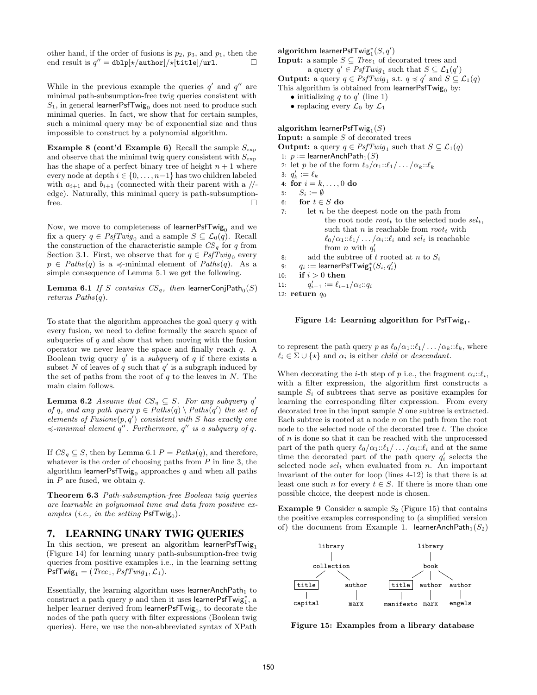other hand, if the order of fusions is  $p_2$ ,  $p_3$ , and  $p_1$ , then the end result is  $q'' = \text{dblp}[\star/\text{author}]/\star[\text{title}]/\text{url.}$ 

While in the previous example the queries  $q'$  and  $q''$  are minimal path-subsumption-free twig queries consistent with  $S_1$ , in general learnerPsfTwig<sub>0</sub> does not need to produce such minimal queries. In fact, we show that for certain samples, such a minimal query may be of exponential size and thus impossible to construct by a polynomial algorithm.

**Example 8 (cont'd Example 6)** Recall the sample  $S_{\text{exp}}$ and observe that the minimal twig query consistent with  $S_{\text{exp}}$ has the shape of a perfect binary tree of height  $n + 1$  where every node at depth  $i \in \{0, \ldots, n-1\}$  has two children labeled with  $a_{i+1}$  and  $b_{i+1}$  (connected with their parent with a //edge). Naturally, this minimal query is path-subsumption- $\Gamma$  free.

Now, we move to completeness of learnerPsfTwig<sub>0</sub> and we fix a query  $q \in P\text{sfTwig}_0$  and a sample  $S \subseteq \mathcal{L}_0(q)$ . Recall the construction of the characteristic sample  $CS_q$  for q from Section 3.1. First, we observe that for  $q \in PsfTwig_0$  every  $p \in Paths(q)$  is a  $\leq$ -minimal element of  $Paths(q)$ . As a simple consequence of Lemma 5.1 we get the following.

 ${\bf Lemma~6.1}$  If  $S$  contains  $CS_q,$  then learner ${\sf ConjPath}_0(S)$ returns  $Paths(q)$ .

To state that the algorithm approaches the goal query  $q$  with every fusion, we need to define formally the search space of subqueries of  $q$  and show that when moving with the fusion operator we never leave the space and finally reach  $q$ . A Boolean twig query  $q'$  is a *subquery* of q if there exists a subset N of leaves of q such that  $q'$  is a subgraph induced by the set of paths from the root of  $q$  to the leaves in  $N$ . The main claim follows.

**Lemma 6.2** Assume that  $CS_q \subseteq S$ . For any subquery q' of q, and any path query  $p \in Paths(q) \setminus Paths(q')$  the set of elements of  $Fusions(p, q')$  consistent with S has exactly one  $\preccurlyeq$ -minimal element q". Furthermore, q" is a subquery of q.

If  $CS_q \subseteq S$ , then by Lemma 6.1  $P = Paths(q)$ , and therefore, whatever is the order of choosing paths from  $P$  in line 3, the algorithm learnerPsfTwig<sub>0</sub> approaches  $q$  and when all paths in  $P$  are fused, we obtain  $q$ .

Theorem 6.3 Path-subsumption-free Boolean twig queries are learnable in polynomial time and data from positive examples (i.e., in the setting  $\mathsf{PsTwig}_0$ ).

#### 7. LEARNING UNARY TWIG QUERIES

In this section, we present an algorithm learnerPsfTwig<sub>1</sub> (Figure 14) for learning unary path-subsumption-free twig queries from positive examples i.e., in the learning setting  $\mathsf{Ps}$ f $\mathsf{Twig}_1 = (Tree_1, Ps$ f $Twig_1, \mathcal{L}_1).$ 

Essentially, the learning algorithm uses learnerAnchPath<sub>1</sub> to construct a path query  $p$  and then it uses learnerPsfTwig<sup>\*</sup>, a helper learner derived from l**earnerPsfTwig** $_0$ , to decorate the nodes of the path query with filter expressions (Boolean twig queries). Here, we use the non-abbreviated syntax of XPath

 $\mathbf{algorithm}$  learner $\mathsf{PsfTwig}^*_1(S,q')$ 

**Input:** a sample  $S \subseteq Tree_1$  of decorated trees and a query  $q' \in P\text{sfTwig}_1$  such that  $S \subseteq \mathcal{L}_1(q')$ **Output:** a query  $q \in PsfTwig_1$  s.t.  $q \preccurlyeq q'$  and  $S \subseteq \mathcal{L}_1(q)$ This algorithm is obtained from learnerPsfTwig<sub>0</sub> by:

- $\bullet$  initializing q to q' (line 1)
- replacing every  $\mathcal{L}_0$  by  $\mathcal{L}_1$

 $\mathbf{algorithm}$  learner $\mathsf{Ps}\mathsf{fTwig}_1(S)$ 

Input: a sample  $S$  of decorated trees

- **Output:** a query  $q \in PsfTwig_1$  such that  $S \subseteq \mathcal{L}_1(q)$
- 1:  $p :=$  learnerAnchPath<sub>1</sub>(S)
- 2: let p be of the form  $\ell_0/\alpha_1:\ell_1/\ldots/\alpha_k:\ell_k$
- 3:  $q'_k := \ell_k$
- 4: for  $i = k, \ldots, 0$  do
- 5:  $S_i := \emptyset$
- 6: for  $t \in S$  do
- 7: let  $n$  be the deepest node on the path from the root node  $root_t$  to the selected node  $sel_t$ , such that n is reachable from  $root_t$  with  $\ell_0/\alpha_1:\ell_1/\ldots/\alpha_i:\ell_i$  and sel<sub>t</sub> is reachable from *n* with  $q_i'$
- 8: add the subtree of t rooted at n to  $S_i$
- 9:  $q_i :=$  learner $\mathsf{Psffwig}_1^*(S_i, q'_i)$
- 10: if  $i > 0$  then
- $11:$  $\ell_{i-1} := \ell_{i-1}/\alpha_i::q_i$
- 12: return  $q_0$

## Figure 14: Learning algorithm for <code>PsfTwig $_{1}.$ </code>

to represent the path query p as  $\ell_0/\alpha_1:\ell_1/\ldots/\alpha_k:\ell_k$ , where  $\ell_i \in \Sigma \cup \{\star\}$  and  $\alpha_i$  is either child or descendant.

When decorating the *i*-th step of p i.e., the fragment  $\alpha_i$ :: $\ell_i$ , with a filter expression, the algorithm first constructs a sample  $S_i$  of subtrees that serve as positive examples for learning the corresponding filter expression. From every decorated tree in the input sample S one subtree is extracted. Each subtree is rooted at a node  $n$  on the path from the root node to the selected node of the decorated tree t. The choice of  $n$  is done so that it can be reached with the unprocessed part of the path query  $\ell_0/\alpha_1:\ell_1/\ldots/\alpha_i:\ell_i$  and at the same time the decorated part of the path query  $q_i'$  selects the selected node  $sel_t$  when evaluated from n. An important invariant of the outer for loop (lines 4-12) is that there is at least one such n for every  $t \in S$ . If there is more than one possible choice, the deepest node is chosen.

**Example 9** Consider a sample  $S_2$  (Figure 15) that contains the positive examples corresponding to (a simplified version of) the document from Example 1. learnerAnchPath<sub>1</sub>( $S_2$ )



Figure 15: Examples from a library database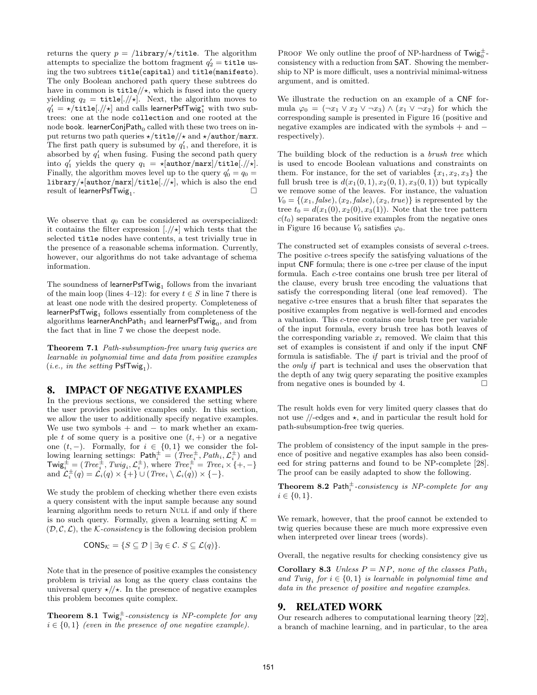returns the query  $p = \frac{\text{library}}{\star}$ title. The algorithm attempts to specialize the bottom fragment  $q'_2 = \texttt{title}$  using the two subtrees title(capital) and title(manifesto). The only Boolean anchored path query these subtrees do have in common is  $\text{title}/\!/\star$ , which is fused into the query yielding  $q_2 = \text{title}[\cdot/\neq]$ . Next, the algorithm moves to  $q'_1 = \star/\texttt{title}[.//\star]$  and calls learnerPsfTwig $_1^*$  with two subtrees: one at the node collection and one rooted at the node **book. learnerConjPath** $_0$  called with these two trees on input returns two path queries  $\star$ /title// $\star$  and  $\star$ /author/marx. The first path query is subsumed by  $q'_1$ , and therefore, it is absorbed by  $q'_1$  when fusing. Fusing the second path query into  $q_1'$  yields the query  $q_1 = \star[\texttt{author/maxx}]/\texttt{title}[.//\star].$ Finally, the algorithm moves level up to the query  $q'_0 = q_0 =$ library/ $\star$ [author/marx]/title[.// $\star$ ], which is also the end result of learner $P$ sfTwig<sub>1</sub>. .

We observe that  $q_0$  can be considered as overspecialized: it contains the filter expression  $\left[\frac{1}{x}\right]$  which tests that the selected title nodes have contents, a test trivially true in the presence of a reasonable schema information. Currently, however, our algorithms do not take advantage of schema information.

The soundness of learner $\mathsf{PsfTwig}_1$  follows from the invariant of the main loop (lines 4–12): for every  $t \in S$  in line 7 there is at least one node with the desired property. Completeness of  $\sf{learnerPsfTwig}_1$  follows essentially from completeness of the algorithms learnerAnchPath $_1$  and learnerPsfTwig $_0,$  and from the fact that in line 7 we chose the deepest node.

Theorem 7.1 Path-subsumption-free unary twig queries are learnable in polynomial time and data from positive examples (*i.e.*, in the setting  $\mathsf{PsfTwig}_1$ ).

# 8. IMPACT OF NEGATIVE EXAMPLES

In the previous sections, we considered the setting where the user provides positive examples only. In this section, we allow the user to additionally specify negative examples. We use two symbols  $+$  and  $-$  to mark whether an example t of some query is a positive one  $(t,+)$  or a negative one  $(t, -)$ . Formally, for  $i \in \{0, 1\}$  we consider the following learning settings:  $\mathsf{Path}^{\pm}_{i} = (\textit{Tree}^{\pm}_{i}, \textit{Path}_{i}, \mathcal{L}^{\pm}_{i})$  and  $\mathsf{Twig}_i^{\pm} = (\textit{Tree}_i^{\pm}, \textit{Twig}_i, \mathcal{L}_i^{\pm}), \text{ where } \textit{Tree}_i^{\pm} = \textit{Tree}_i \times \{+, -\}$ and  $\mathcal{L}_{i}^{\pm}(q) = \mathcal{L}_{i}(q) \times \{+\} \cup (Tree_{i} \setminus \mathcal{L}_{i}(q)) \times \{-\}.$ 

We study the problem of checking whether there even exists a query consistent with the input sample because any sound learning algorithm needs to return NULL if and only if there is no such query. Formally, given a learning setting  $K =$  $(\mathcal{D}, \mathcal{C}, \mathcal{L})$ , the K-consistency is the following decision problem

$$
CONS_{\mathcal{K}} = \{ S \subseteq \mathcal{D} \mid \exists q \in \mathcal{C}. S \subseteq \mathcal{L}(q) \}.
$$

Note that in the presence of positive examples the consistency problem is trivial as long as the query class contains the universal query  $\star/\!/ \star$ . In the presence of negative examples this problem becomes quite complex.

**Theorem 8.1**  $Twig_i^{\pm}$ -consistency is NP-complete for any  $i \in \{0,1\}$  (even in the presence of one negative example).

PROOF We only outline the proof of NP-hardness of  $Twig_0^{\pm}$ consistency with a reduction from SAT. Showing the membership to NP is more difficult, uses a nontrivial minimal-witness argument, and is omitted.

We illustrate the reduction on an example of a CNF formula  $\varphi_0 = (\neg x_1 \lor x_2 \lor \neg x_3) \land (x_1 \lor \neg x_2)$  for which the corresponding sample is presented in Figure 16 (positive and negative examples are indicated with the symbols + and − respectively).

The building block of the reduction is a brush tree which is used to encode Boolean valuations and constraints on them. For instance, for the set of variables  $\{x_1, x_2, x_3\}$  the full brush tree is  $d(x_1(0, 1), x_2(0, 1), x_3(0, 1))$  but typically we remove some of the leaves. For instance, the valuation  $V_0 = \{(x_1, false), (x_2, false), (x_2, true)\}\$ is represented by the tree  $t_0 = d(x_1(0), x_2(0), x_3(1))$ . Note that the tree pattern  $c(t_0)$  separates the positive examples from the negative ones in Figure 16 because  $V_0$  satisfies  $\varphi_0$ .

The constructed set of examples consists of several c-trees. The positive c-trees specify the satisfying valuations of the input CNF formula; there is one c-tree per clause of the input formula. Each c-tree contains one brush tree per literal of the clause, every brush tree encoding the valuations that satisfy the corresponding literal (one leaf removed). The negative c-tree ensures that a brush filter that separates the positive examples from negative is well-formed and encodes a valuation. This c-tree contains one brush tree per variable of the input formula, every brush tree has both leaves of the corresponding variable  $x_i$  removed. We claim that this set of examples is consistent if and only if the input CNF formula is satisfiable. The if part is trivial and the proof of the only if part is technical and uses the observation that the depth of any twig query separating the positive examples from negative ones is bounded by 4.  $\Box$ 

The result holds even for very limited query classes that do not use //-edges and  $\star$ , and in particular the result hold for path-subsumption-free twig queries.

The problem of consistency of the input sample in the presence of positive and negative examples has also been consideed for string patterns and found to be NP-complete [28]. The proof can be easily adapted to show the following.

**Theorem 8.2** Path $_{i}^{\pm}$ -consistency is NP-complete for any  $i \in \{0, 1\}.$ 

We remark, however, that the proof cannot be extended to twig queries because these are much more expressive even when interpreted over linear trees (words).

Overall, the negative results for checking consistency give us

Corollary 8.3 Unless  $P = NP$ , none of the classes  $Path_i$ and  $Twig_i$  for  $i \in \{0,1\}$  is learnable in polynomial time and data in the presence of positive and negative examples.

# 9. RELATED WORK

Our research adheres to computational learning theory [22], a branch of machine learning, and in particular, to the area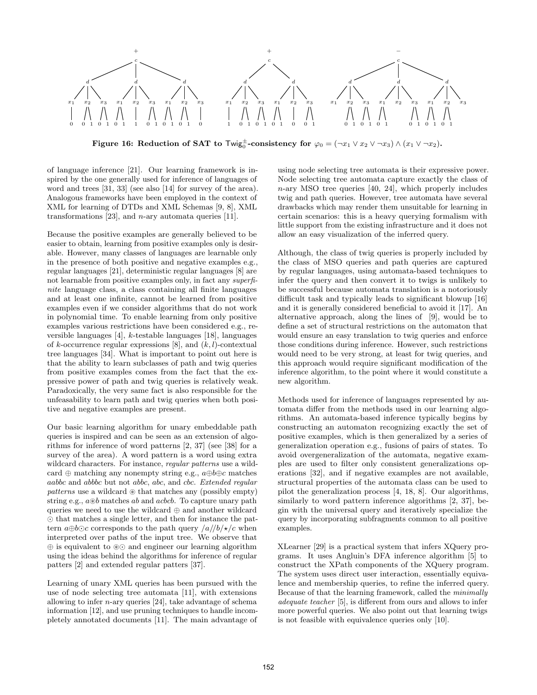

Figure 16: Reduction of SAT to Twig $_0^{\pm}$ -consistency for  $\varphi_0 = (\neg x_1 \vee x_2 \vee \neg x_3) \wedge (x_1 \vee \neg x_2)$ .

of language inference [21]. Our learning framework is inspired by the one generally used for inference of languages of word and trees [31, 33] (see also [14] for survey of the area). Analogous frameworks have been employed in the context of XML for learning of DTDs and XML Schemas [9, 8], XML transformations [23], and n-ary automata queries [11].

Because the positive examples are generally believed to be easier to obtain, learning from positive examples only is desirable. However, many classes of languages are learnable only in the presence of both positive and negative examples e.g., regular languages [21], deterministic regular languages [8] are not learnable from positive examples only, in fact any superfinite language class, a class containing all finite languages and at least one infinite, cannot be learned from positive examples even if we consider algorithms that do not work in polynomial time. To enable learning from only positive examples various restrictions have been considered e.g., reversible languages [4], k-testable languages [18], languages of k-occurrence regular expressions [8], and  $(k, l)$ -contextual tree languages [34]. What is important to point out here is that the ability to learn subclasses of path and twig queries from positive examples comes from the fact that the expressive power of path and twig queries is relatively weak. Paradoxically, the very same fact is also responsible for the unfeasability to learn path and twig queries when both positive and negative examples are present.

Our basic learning algorithm for unary embeddable path queries is inspired and can be seen as an extension of algorithms for inference of word patterns [2, 37] (see [38] for a survey of the area). A word pattern is a word using extra wildcard characters. For instance, regular patterns use a wildcard ⊕ matching any nonempty string e.g.,  $a \oplus b \oplus c$  matches aabbc and abbbc but not abbc, abc, and cbc. Extended regular  $patterns$  use a wildcard  $\circledast$  that matches any (possibly empty) string e.g.,  $a\otimes b$  matches ab and acbcb. To capture unary path queries we need to use the wildcard ⊕ and another wildcard  $\odot$  that matches a single letter, and then for instance the pattern  $a \oplus b \odot c$  corresponds to the path query  $\frac{a}{b} \times c$  when interpreted over paths of the input tree. We observe that  $\oplus$  is equivalent to  $\otimes \odot$  and engineer our learning algorithm using the ideas behind the algorithms for inference of regular patters [2] and extended regular patters [37].

Learning of unary XML queries has been pursued with the use of node selecting tree automata [11], with extensions allowing to infer n-ary queries [24], take advantage of schema information [12], and use pruning techniques to handle incompletely annotated documents [11]. The main advantage of using node selecting tree automata is their expressive power. Node selecting tree automata capture exactly the class of n-ary MSO tree queries [40, 24], which properly includes twig and path queries. However, tree automata have several drawbacks which may render them unsuitable for learning in certain scenarios: this is a heavy querying formalism with little support from the existing infrastructure and it does not allow an easy visualization of the inferred query.

Although, the class of twig queries is properly included by the class of MSO queries and path queries are captured by regular languages, using automata-based techniques to infer the query and then convert it to twigs is unlikely to be successful because automata translation is a notoriously difficult task and typically leads to significant blowup [16] and it is generally considered beneficial to avoid it [17]. An alternative approach, along the lines of [9], would be to define a set of structural restrictions on the automaton that would ensure an easy translation to twig queries and enforce those conditions during inference. However, such restrictions would need to be very strong, at least for twig queries, and this approach would require significant modification of the inference algorithm, to the point where it would constitute a new algorithm.

Methods used for inference of languages represented by automata differ from the methods used in our learning algorithms. An automata-based inference typically begins by constructing an automaton recognizing exactly the set of positive examples, which is then generalized by a series of generalization operation e.g., fusions of pairs of states. To avoid overgeneralization of the automata, negative examples are used to filter only consistent generalizations operations [32], and if negative examples are not available, structural properties of the automata class can be used to pilot the generalization process [4, 18, 8]. Our algorithms, similarly to word pattern inference algorithms [2, 37], begin with the universal query and iteratively specialize the query by incorporating subfragments common to all positive examples.

XLearner [29] is a practical system that infers XQuery programs. It uses Angluin's DFA inference algorithm [5] to construct the XPath components of the XQuery program. The system uses direct user interaction, essentially equivalence and membership queries, to refine the inferred query. Because of that the learning framework, called the minimally adequate teacher [5], is different from ours and allows to infer more powerful queries. We also point out that learning twigs is not feasible with equivalence queries only [10].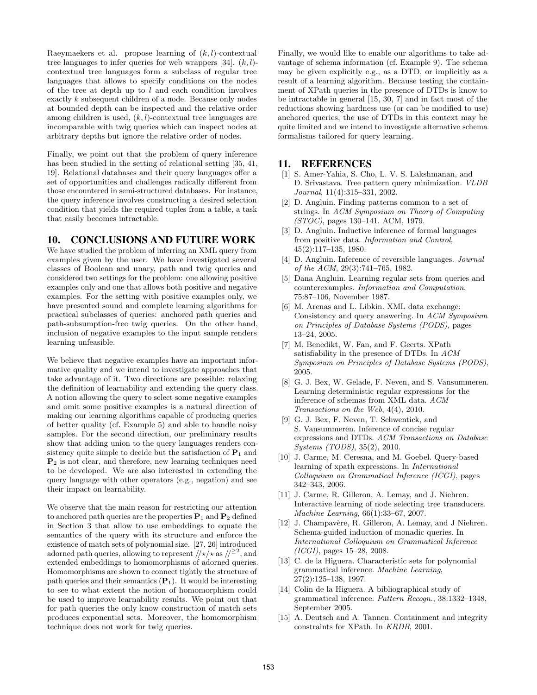Raeymaekers et al. propose learning of  $(k, l)$ -contextual tree languages to infer queries for web wrappers [34].  $(k, l)$ contextual tree languages form a subclass of regular tree languages that allows to specify conditions on the nodes of the tree at depth up to  $l$  and each condition involves exactly k subsequent children of a node. Because only nodes at bounded depth can be inspected and the relative order among children is used,  $(k, l)$ -contextual tree languages are incomparable with twig queries which can inspect nodes at arbitrary depths but ignore the relative order of nodes.

Finally, we point out that the problem of query inference has been studied in the setting of relational setting [35, 41, 19]. Relational databases and their query languages offer a set of opportunities and challenges radically different from those encountered in semi-structured databases. For instance, the query inference involves constructing a desired selection condition that yields the required tuples from a table, a task that easily becomes intractable.

## 10. CONCLUSIONS AND FUTURE WORK

We have studied the problem of inferring an XML query from examples given by the user. We have investigated several classes of Boolean and unary, path and twig queries and considered two settings for the problem: one allowing positive examples only and one that allows both positive and negative examples. For the setting with positive examples only, we have presented sound and complete learning algorithms for practical subclasses of queries: anchored path queries and path-subsumption-free twig queries. On the other hand, inclusion of negative examples to the input sample renders learning unfeasible.

We believe that negative examples have an important informative quality and we intend to investigate approaches that take advantage of it. Two directions are possible: relaxing the definition of learnability and extending the query class. A notion allowing the query to select some negative examples and omit some positive examples is a natural direction of making our learning algorithms capable of producing queries of better quality (cf. Example 5) and able to handle noisy samples. For the second direction, our preliminary results show that adding union to the query languages renders consistency quite simple to decide but the satisfaction of  $P_1$  and P<sup>2</sup> is not clear, and therefore, new learning techniques need to be developed. We are also interested in extending the query language with other operators (e.g., negation) and see their impact on learnability.

We observe that the main reason for restricting our attention to anchored path queries are the properties  $P_1$  and  $P_2$  defined in Section 3 that allow to use embeddings to equate the semantics of the query with its structure and enforce the existence of match sets of polynomial size. [27, 26] introduced adorned path queries, allowing to represent  $/\prime\star/\star$  as  $/\prime^{\geq 2}$ , and extended embeddings to homomorphisms of adorned queries. Homomorphisms are shown to connect tightly the structure of path queries and their semantics  $(\mathbf{P}_1)$ . It would be interesting to see to what extent the notion of homomorphism could be used to improve learnability results. We point out that for path queries the only know construction of match sets produces exponential sets. Moreover, the homomorphism technique does not work for twig queries.

Finally, we would like to enable our algorithms to take advantage of schema information (cf. Example 9). The schema may be given explicitly e.g., as a DTD, or implicitly as a result of a learning algorithm. Because testing the containment of XPath queries in the presence of DTDs is know to be intractable in general [15, 30, 7] and in fact most of the reductions showing hardness use (or can be modified to use) anchored queries, the use of DTDs in this context may be quite limited and we intend to investigate alternative schema formalisms tailored for query learning.

## 11. REFERENCES

- [1] S. Amer-Yahia, S. Cho, L. V. S. Lakshmanan, and D. Srivastava. Tree pattern query minimization. VLDB Journal, 11(4):315–331, 2002.
- [2] D. Angluin. Finding patterns common to a set of strings. In ACM Symposium on Theory of Computing (STOC), pages 130–141. ACM, 1979.
- [3] D. Angluin. Inductive inference of formal languages from positive data. Information and Control, 45(2):117–135, 1980.
- [4] D. Angluin. Inference of reversible languages. Journal of the ACM, 29(3):741–765, 1982.
- [5] Dana Angluin. Learning regular sets from queries and counterexamples. Information and Computation, 75:87–106, November 1987.
- [6] M. Arenas and L. Libkin. XML data exchange: Consistency and query answering. In ACM Symposium on Principles of Database Systems (PODS), pages 13–24, 2005.
- [7] M. Benedikt, W. Fan, and F. Geerts. XPath satisfiability in the presence of DTDs. In ACM Symposium on Principles of Database Systems (PODS), 2005.
- [8] G. J. Bex, W. Gelade, F. Neven, and S. Vansummeren. Learning deterministic regular expressions for the inference of schemas from XML data. ACM Transactions on the Web, 4(4), 2010.
- [9] G. J. Bex, F. Neven, T. Schwentick, and S. Vansummeren. Inference of concise regular expressions and DTDs. ACM Transactions on Database Systems (TODS), 35(2), 2010.
- [10] J. Carme, M. Ceresna, and M. Goebel. Query-based learning of xpath expressions. In International Colloquium on Grammatical Inference (ICGI), pages 342–343, 2006.
- [11] J. Carme, R. Gilleron, A. Lemay, and J. Niehren. Interactive learning of node selecting tree transducers. Machine Learning, 66(1):33–67, 2007.
- [12] J. Champavère, R. Gilleron, A. Lemay, and J Niehren. Schema-guided induction of monadic queries. In International Colloquium on Grammatical Inference (ICGI), pages 15–28, 2008.
- [13] C. de la Higuera. Characteristic sets for polynomial grammatical inference. Machine Learning, 27(2):125–138, 1997.
- [14] Colin de la Higuera. A bibliographical study of grammatical inference. Pattern Recogn., 38:1332–1348, September 2005.
- [15] A. Deutsch and A. Tannen. Containment and integrity constraints for XPath. In KRDB, 2001.